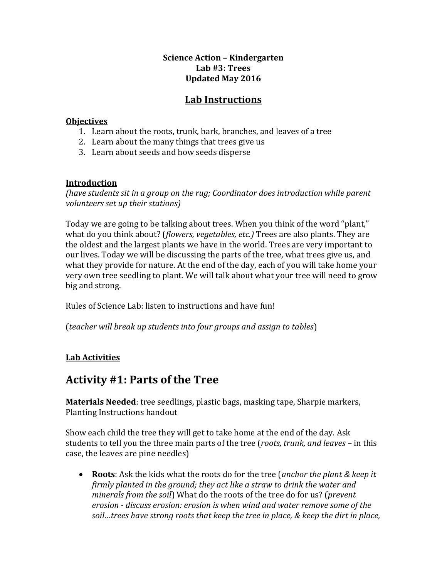#### **Science Action – Kindergarten Lab #3: Trees Updated May 2016**

### **Lab Instructions**

#### **Objectives**

- 1. Learn about the roots, trunk, bark, branches, and leaves of a tree
- 2. Learn about the many things that trees give us
- 3. Learn about seeds and how seeds disperse

#### **Introduction**

*(have students sit in a group on the rug; Coordinator does introduction while parent volunteers set up their stations)*

Today we are going to be talking about trees. When you think of the word "plant," what do you think about? (*flowers, vegetables, etc.)* Trees are also plants. They are the oldest and the largest plants we have in the world. Trees are very important to our lives. Today we will be discussing the parts of the tree, what trees give us, and what they provide for nature. At the end of the day, each of you will take home your very own tree seedling to plant. We will talk about what your tree will need to grow big and strong.

Rules of Science Lab: listen to instructions and have fun!

(*teacher will break up students into four groups and assign to tables*)

### **Lab Activities**

### **Activity #1: Parts of the Tree**

**Materials Needed**: tree seedlings, plastic bags, masking tape, Sharpie markers, Planting Instructions handout

Show each child the tree they will get to take home at the end of the day. Ask students to tell you the three main parts of the tree (*roots, trunk, and leaves* – in this case, the leaves are pine needles)

 **Roots**: Ask the kids what the roots do for the tree (*anchor the plant & keep it firmly planted in the ground; they act like a straw to drink the water and minerals from the soil*) What do the roots of the tree do for us? (*prevent erosion - discuss erosion: erosion is when wind and water remove some of the soil…trees have strong roots that keep the tree in place, & keep the dirt in place,*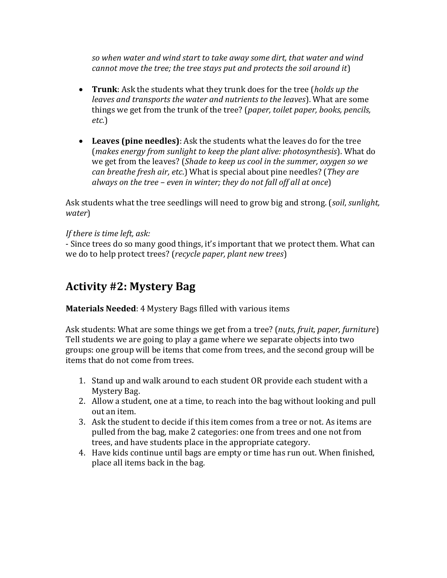*so when water and wind start to take away some dirt, that water and wind cannot move the tree; the tree stays put and protects the soil around it*)

- **Trunk**: Ask the students what they trunk does for the tree (*holds up the leaves and transports the water and nutrients to the leaves*). What are some things we get from the trunk of the tree? (*paper, toilet paper, books, pencils, etc.*)
- **Leaves (pine needles)**: Ask the students what the leaves do for the tree (*makes energy from sunlight to keep the plant alive: photosynthesis*). What do we get from the leaves? (*Shade to keep us cool in the summer, oxygen so we can breathe fresh air, etc*.) What is special about pine needles? (*They are always on the tree – even in winter; they do not fall off all at once*)

Ask students what the tree seedlings will need to grow big and strong. (*soil*, *sunlight, water*)

#### *If there is time left, ask:*

- Since trees do so many good things, it's important that we protect them. What can we do to help protect trees? (*recycle paper, plant new trees*)

## **Activity #2: Mystery Bag**

#### **Materials Needed**: 4 Mystery Bags filled with various items

Ask students: What are some things we get from a tree? (*nuts, fruit, paper, furniture*) Tell students we are going to play a game where we separate objects into two groups: one group will be items that come from trees, and the second group will be items that do not come from trees.

- 1. Stand up and walk around to each student OR provide each student with a Mystery Bag.
- 2. Allow a student, one at a time, to reach into the bag without looking and pull out an item.
- 3. Ask the student to decide if this item comes from a tree or not. As items are pulled from the bag, make 2 categories: one from trees and one not from trees, and have students place in the appropriate category.
- 4. Have kids continue until bags are empty or time has run out. When finished, place all items back in the bag.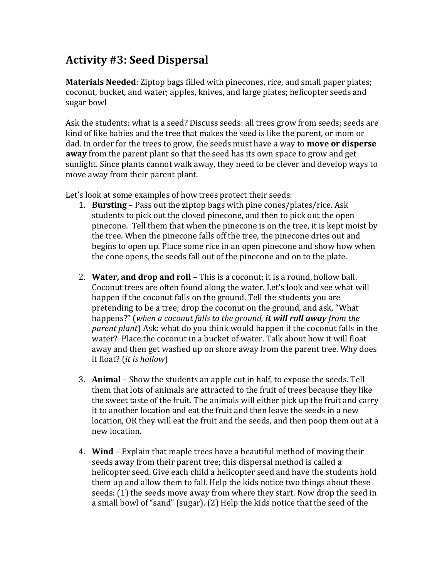## **Activity #3: Seed Dispersal**

**Materials Needed**: Ziptop bags filled with pinecones, rice, and small paper plates; coconut, bucket, and water; apples, knives, and large plates; helicopter seeds and sugar bowl

Ask the students: what is a seed? Discuss seeds: all trees grow from seeds; seeds are kind of like babies and the tree that makes the seed is like the parent, or mom or dad. In order for the trees to grow, the seeds must have a way to **move or disperse away** from the parent plant so that the seed has its own space to grow and get sunlight. Since plants cannot walk away, they need to be clever and develop ways to move away from their parent plant.

Let's look at some examples of how trees protect their seeds:

- 1. **Bursting** Pass out the ziptop bags with pine cones/plates/rice. Ask students to pick out the closed pinecone, and then to pick out the open pinecone. Tell them that when the pinecone is on the tree, it is kept moist by the tree. When the pinecone falls off the tree, the pinecone dries out and begins to open up. Place some rice in an open pinecone and show how when the cone opens, the seeds fall out of the pinecone and on to the plate.
- 2. **Water, and drop and roll** This is a coconut; it is a round, hollow ball. Coconut trees are often found along the water. Let's look and see what will happen if the coconut falls on the ground. Tell the students you are pretending to be a tree; drop the coconut on the ground, and ask, "What happens?" (*when a coconut falls to the ground, it will roll away from the parent plant*) Ask: what do you think would happen if the coconut falls in the water? Place the coconut in a bucket of water. Talk about how it will float away and then get washed up on shore away from the parent tree. Why does it float? (*it is hollow*)
- 3. **Animal** Show the students an apple cut in half, to expose the seeds. Tell them that lots of animals are attracted to the fruit of trees because they like the sweet taste of the fruit. The animals will either pick up the fruit and carry it to another location and eat the fruit and then leave the seeds in a new location, OR they will eat the fruit and the seeds, and then poop them out at a new location.
- 4. **Wind** Explain that maple trees have a beautiful method of moving their seeds away from their parent tree; this dispersal method is called a helicopter seed. Give each child a helicopter seed and have the students hold them up and allow them to fall. Help the kids notice two things about these seeds: (1) the seeds move away from where they start. Now drop the seed in a small bowl of "sand" (sugar). (2) Help the kids notice that the seed of the